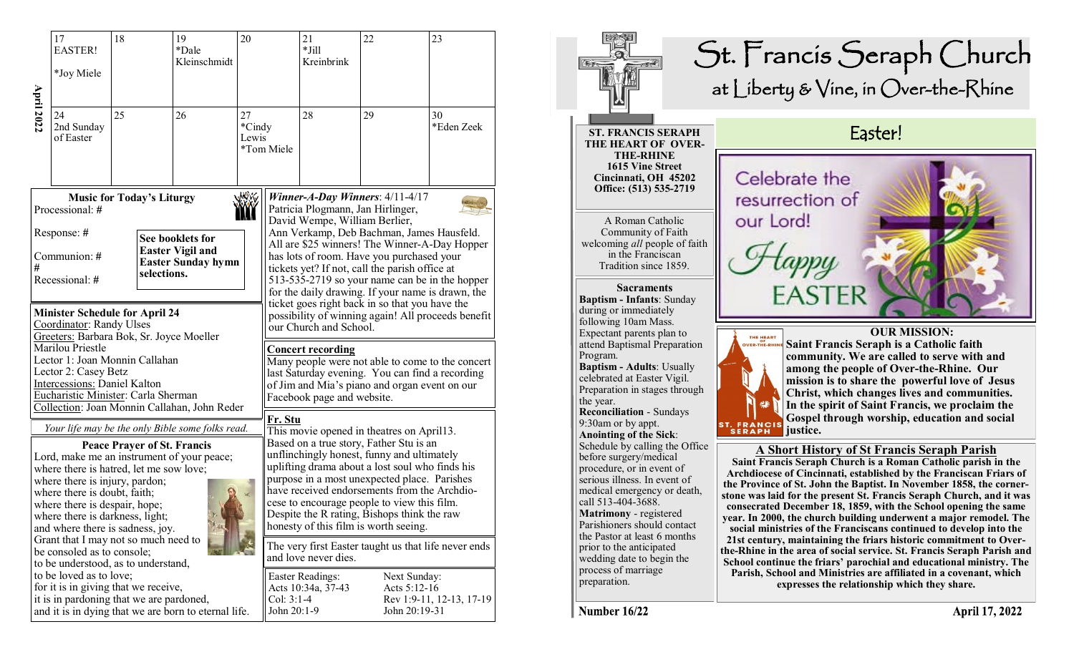|                                                                                                                                                                                                                                                                                                       | 17<br><b>EASTER!</b>                                                                                                                     | 18 |  | 19<br>*Dale<br>Kleinschmidt | 20<br>27<br>*Cindy<br>Lewis<br>*Tom Miele |                                                                                                                                                                                                                                                                                                                                                                                 | 21<br>$*$ Jill<br>Kreinbrink                                                                                                                                                                                   | 22                                            | 23                       |  |  |
|-------------------------------------------------------------------------------------------------------------------------------------------------------------------------------------------------------------------------------------------------------------------------------------------------------|------------------------------------------------------------------------------------------------------------------------------------------|----|--|-----------------------------|-------------------------------------------|---------------------------------------------------------------------------------------------------------------------------------------------------------------------------------------------------------------------------------------------------------------------------------------------------------------------------------------------------------------------------------|----------------------------------------------------------------------------------------------------------------------------------------------------------------------------------------------------------------|-----------------------------------------------|--------------------------|--|--|
|                                                                                                                                                                                                                                                                                                       | *Joy Miele                                                                                                                               |    |  |                             |                                           |                                                                                                                                                                                                                                                                                                                                                                                 |                                                                                                                                                                                                                |                                               |                          |  |  |
| <b>April 2022</b>                                                                                                                                                                                                                                                                                     | 24<br>2nd Sunday<br>of Easter                                                                                                            | 25 |  | 26                          |                                           |                                                                                                                                                                                                                                                                                                                                                                                 | 28                                                                                                                                                                                                             | 29                                            | 30<br>*Eden Zeek         |  |  |
| 燃化<br><b>Music for Today's Liturgy</b><br>Processional: #                                                                                                                                                                                                                                             |                                                                                                                                          |    |  |                             |                                           |                                                                                                                                                                                                                                                                                                                                                                                 | Winner-A-Day Winners: $4/11-4/17$<br>Patricia Plogmann, Jan Hirlinger,<br>David Wempe, William Berlier,                                                                                                        |                                               |                          |  |  |
| #                                                                                                                                                                                                                                                                                                     | Response: #<br>See booklets for<br><b>Easter Vigil and</b><br>Communion: #<br><b>Easter Sunday hymn</b><br>selections.<br>Recessional: # |    |  |                             |                                           | Ann Verkamp, Deb Bachman, James Hausfeld.<br>All are \$25 winners! The Winner-A-Day Hopper<br>has lots of room. Have you purchased your<br>tickets yet? If not, call the parish office at<br>513-535-2719 so your name can be in the hopper<br>for the daily drawing. If your name is drawn, the                                                                                |                                                                                                                                                                                                                |                                               |                          |  |  |
| <b>Minister Schedule for April 24</b><br>Coordinator: Randy Ulses<br>Greeters: Barbara Bok, Sr. Joyce Moeller                                                                                                                                                                                         |                                                                                                                                          |    |  |                             |                                           |                                                                                                                                                                                                                                                                                                                                                                                 | ticket goes right back in so that you have the<br>possibility of winning again! All proceeds benefit<br>our Church and School.                                                                                 |                                               |                          |  |  |
| Marilou Priestle<br>Lector 1: Joan Monnin Callahan<br>Lector 2: Casey Betz<br><b>Intercessions: Daniel Kalton</b><br>Eucharistic Minister: Carla Sherman<br>Collection: Joan Monnin Callahan, John Reder                                                                                              |                                                                                                                                          |    |  |                             |                                           |                                                                                                                                                                                                                                                                                                                                                                                 | <b>Concert recording</b><br>Many people were not able to come to the concert<br>last Saturday evening. You can find a recording<br>of Jim and Mia's piano and organ event on our<br>Facebook page and website. |                                               |                          |  |  |
|                                                                                                                                                                                                                                                                                                       | Your life may be the only Bible some folks read.                                                                                         |    |  |                             |                                           |                                                                                                                                                                                                                                                                                                                                                                                 | <u>Fr. Stu</u><br>This movie opened in theatres on April13.                                                                                                                                                    |                                               |                          |  |  |
| <b>Peace Prayer of St. Francis</b><br>Lord, make me an instrument of your peace;<br>where there is hatred, let me sow love;<br>where there is injury, pardon;<br>where there is doubt, faith;<br>where there is despair, hope;<br>where there is darkness, light;<br>and where there is sadness, joy. |                                                                                                                                          |    |  |                             |                                           | Based on a true story, Father Stu is an<br>unflinchingly honest, funny and ultimately<br>uplifting drama about a lost soul who finds his<br>purpose in a most unexpected place. Parishes<br>have received endorsements from the Archdio-<br>cese to encourage people to view this film.<br>Despite the R rating, Bishops think the raw<br>honesty of this film is worth seeing. |                                                                                                                                                                                                                |                                               |                          |  |  |
| Grant that I may not so much need to<br>be consoled as to console;<br>to be understood, as to understand,<br>to be loved as to love;<br>for it is in giving that we receive,<br>it is in pardoning that we are pardoned,<br>and it is in dying that we are born to eternal life.                      |                                                                                                                                          |    |  |                             |                                           |                                                                                                                                                                                                                                                                                                                                                                                 | The very first Easter taught us that life never ends<br>and love never dies.                                                                                                                                   |                                               |                          |  |  |
|                                                                                                                                                                                                                                                                                                       |                                                                                                                                          |    |  |                             |                                           |                                                                                                                                                                                                                                                                                                                                                                                 | <b>Easter Readings:</b><br>Acts 10:34a, 37-43<br>$Col: 3:1-4$<br>John 20:1-9                                                                                                                                   | Next Sunday:<br>Acts 5:12-16<br>John 20:19-31 | Rev 1:9-11, 12-13, 17-19 |  |  |